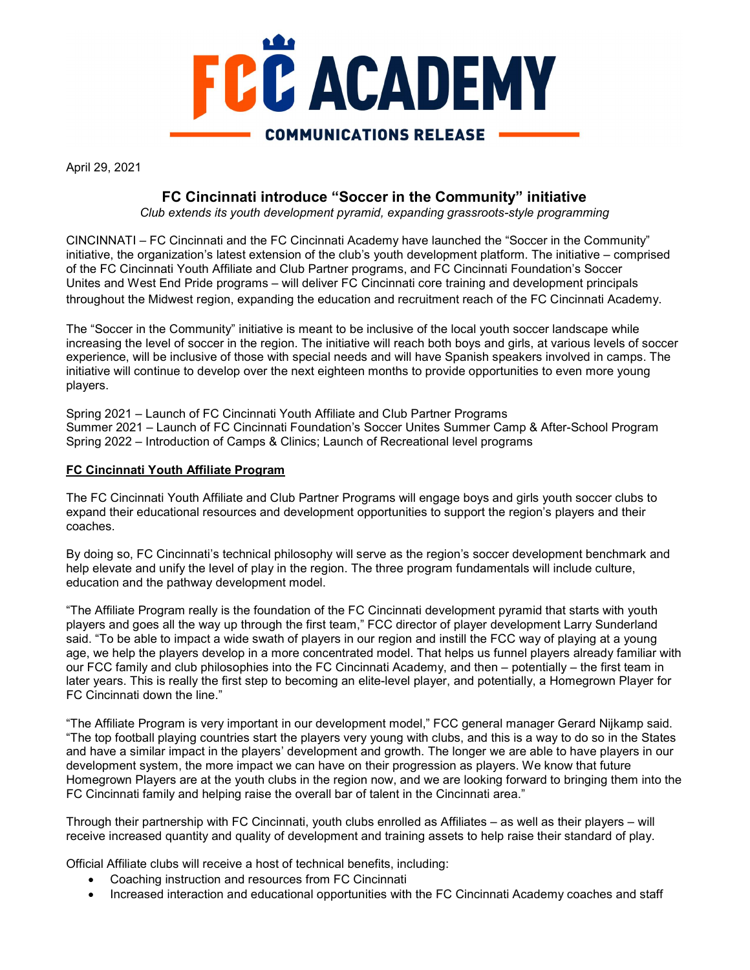

April 29, 2021

# FC Cincinnati introduce "Soccer in the Community" initiative

Club extends its youth development pyramid, expanding grassroots-style programming

CINCINNATI – FC Cincinnati and the FC Cincinnati Academy have launched the "Soccer in the Community" initiative, the organization's latest extension of the club's youth development platform. The initiative – comprised of the FC Cincinnati Youth Affiliate and Club Partner programs, and FC Cincinnati Foundation's Soccer Unites and West End Pride programs – will deliver FC Cincinnati core training and development principals throughout the Midwest region, expanding the education and recruitment reach of the FC Cincinnati Academy.

The "Soccer in the Community" initiative is meant to be inclusive of the local youth soccer landscape while increasing the level of soccer in the region. The initiative will reach both boys and girls, at various levels of soccer experience, will be inclusive of those with special needs and will have Spanish speakers involved in camps. The initiative will continue to develop over the next eighteen months to provide opportunities to even more young players.

Spring 2021 – Launch of FC Cincinnati Youth Affiliate and Club Partner Programs Summer 2021 – Launch of FC Cincinnati Foundation's Soccer Unites Summer Camp & After-School Program Spring 2022 – Introduction of Camps & Clinics; Launch of Recreational level programs

#### FC Cincinnati Youth Affiliate Program

The FC Cincinnati Youth Affiliate and Club Partner Programs will engage boys and girls youth soccer clubs to expand their educational resources and development opportunities to support the region's players and their coaches.

By doing so, FC Cincinnati's technical philosophy will serve as the region's soccer development benchmark and help elevate and unify the level of play in the region. The three program fundamentals will include culture, education and the pathway development model.

"The Affiliate Program really is the foundation of the FC Cincinnati development pyramid that starts with youth players and goes all the way up through the first team," FCC director of player development Larry Sunderland said. "To be able to impact a wide swath of players in our region and instill the FCC way of playing at a young age, we help the players develop in a more concentrated model. That helps us funnel players already familiar with our FCC family and club philosophies into the FC Cincinnati Academy, and then – potentially – the first team in later years. This is really the first step to becoming an elite-level player, and potentially, a Homegrown Player for FC Cincinnati down the line."

"The Affiliate Program is very important in our development model," FCC general manager Gerard Nijkamp said. "The top football playing countries start the players very young with clubs, and this is a way to do so in the States and have a similar impact in the players' development and growth. The longer we are able to have players in our development system, the more impact we can have on their progression as players. We know that future Homegrown Players are at the youth clubs in the region now, and we are looking forward to bringing them into the FC Cincinnati family and helping raise the overall bar of talent in the Cincinnati area."

Through their partnership with FC Cincinnati, youth clubs enrolled as Affiliates – as well as their players – will receive increased quantity and quality of development and training assets to help raise their standard of play.

Official Affiliate clubs will receive a host of technical benefits, including:

- Coaching instruction and resources from FC Cincinnati
- Increased interaction and educational opportunities with the FC Cincinnati Academy coaches and staff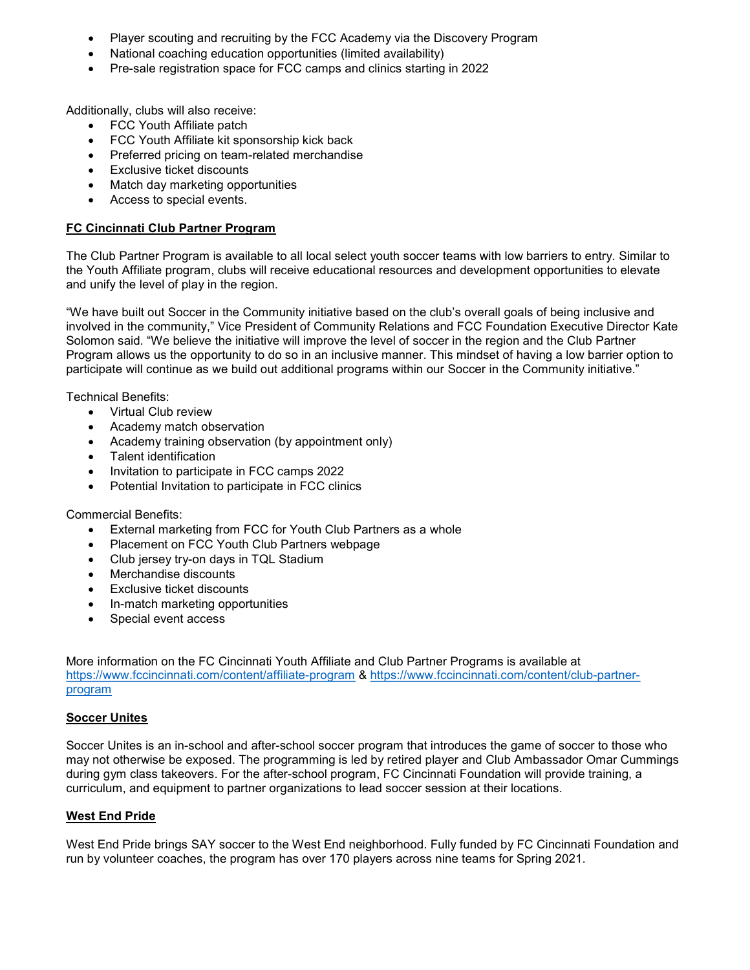- Player scouting and recruiting by the FCC Academy via the Discovery Program
- National coaching education opportunities (limited availability)
- Pre-sale registration space for FCC camps and clinics starting in 2022

Additionally, clubs will also receive:

- FCC Youth Affiliate patch
- FCC Youth Affiliate kit sponsorship kick back
- Preferred pricing on team-related merchandise
- Exclusive ticket discounts
- Match day marketing opportunities
- Access to special events.

## FC Cincinnati Club Partner Program

The Club Partner Program is available to all local select youth soccer teams with low barriers to entry. Similar to the Youth Affiliate program, clubs will receive educational resources and development opportunities to elevate and unify the level of play in the region.

"We have built out Soccer in the Community initiative based on the club's overall goals of being inclusive and involved in the community," Vice President of Community Relations and FCC Foundation Executive Director Kate Solomon said. "We believe the initiative will improve the level of soccer in the region and the Club Partner Program allows us the opportunity to do so in an inclusive manner. This mindset of having a low barrier option to participate will continue as we build out additional programs within our Soccer in the Community initiative."

Technical Benefits:

- Virtual Club review
- Academy match observation
- Academy training observation (by appointment only)
- Talent identification
- Invitation to participate in FCC camps 2022
- Potential Invitation to participate in FCC clinics

Commercial Benefits:

- External marketing from FCC for Youth Club Partners as a whole
- Placement on FCC Youth Club Partners webpage
- Club jersey try-on days in TQL Stadium
- Merchandise discounts
- Exclusive ticket discounts
- In-match marketing opportunities
- Special event access

More information on the FC Cincinnati Youth Affiliate and Club Partner Programs is available at https://www.fccincinnati.com/content/affiliate-program & https://www.fccincinnati.com/content/club-partnerprogram

### **Soccer Unites**

Soccer Unites is an in-school and after-school soccer program that introduces the game of soccer to those who may not otherwise be exposed. The programming is led by retired player and Club Ambassador Omar Cummings during gym class takeovers. For the after-school program, FC Cincinnati Foundation will provide training, a curriculum, and equipment to partner organizations to lead soccer session at their locations.

### West End Pride

West End Pride brings SAY soccer to the West End neighborhood. Fully funded by FC Cincinnati Foundation and run by volunteer coaches, the program has over 170 players across nine teams for Spring 2021.